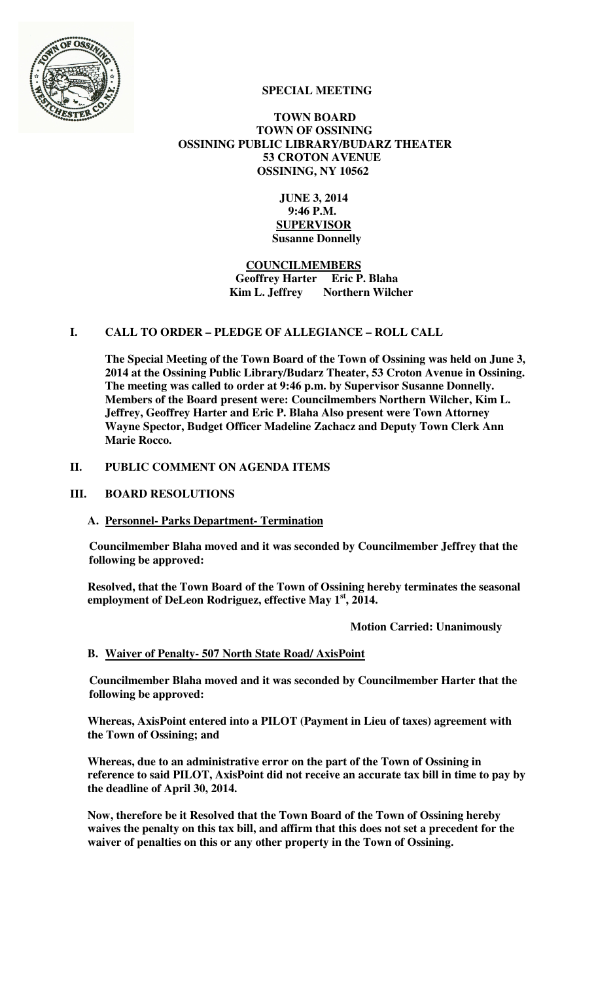

# **SPECIAL MEETING**

### **TOWN BOARD TOWN OF OSSINING OSSINING PUBLIC LIBRARY/BUDARZ THEATER 53 CROTON AVENUE OSSINING, NY 10562**

 **JUNE 3, 2014 9:46 P.M. SUPERVISOR Susanne Donnelly** 

# **COUNCILMEMBERS Geoffrey Harter Eric P. Blaha Kim L. Jeffrey** Northern Wilcher

# **I. CALL TO ORDER – PLEDGE OF ALLEGIANCE – ROLL CALL**

**The Special Meeting of the Town Board of the Town of Ossining was held on June 3, 2014 at the Ossining Public Library/Budarz Theater, 53 Croton Avenue in Ossining. The meeting was called to order at 9:46 p.m. by Supervisor Susanne Donnelly. Members of the Board present were: Councilmembers Northern Wilcher, Kim L. Jeffrey, Geoffrey Harter and Eric P. Blaha Also present were Town Attorney Wayne Spector, Budget Officer Madeline Zachacz and Deputy Town Clerk Ann Marie Rocco.** 

# **II. PUBLIC COMMENT ON AGENDA ITEMS**

### **III. BOARD RESOLUTIONS**

**A. Personnel- Parks Department- Termination**

**Councilmember Blaha moved and it was seconded by Councilmember Jeffrey that the following be approved:** 

**Resolved, that the Town Board of the Town of Ossining hereby terminates the seasonal employment of DeLeon Rodriguez, effective May 1st, 2014.** 

 **Motion Carried: Unanimously** 

# **B. Waiver of Penalty- 507 North State Road/ AxisPoint**

**Councilmember Blaha moved and it was seconded by Councilmember Harter that the following be approved:** 

**Whereas, AxisPoint entered into a PILOT (Payment in Lieu of taxes) agreement with the Town of Ossining; and** 

**Whereas, due to an administrative error on the part of the Town of Ossining in reference to said PILOT, AxisPoint did not receive an accurate tax bill in time to pay by the deadline of April 30, 2014.** 

**Now, therefore be it Resolved that the Town Board of the Town of Ossining hereby waives the penalty on this tax bill, and affirm that this does not set a precedent for the waiver of penalties on this or any other property in the Town of Ossining.**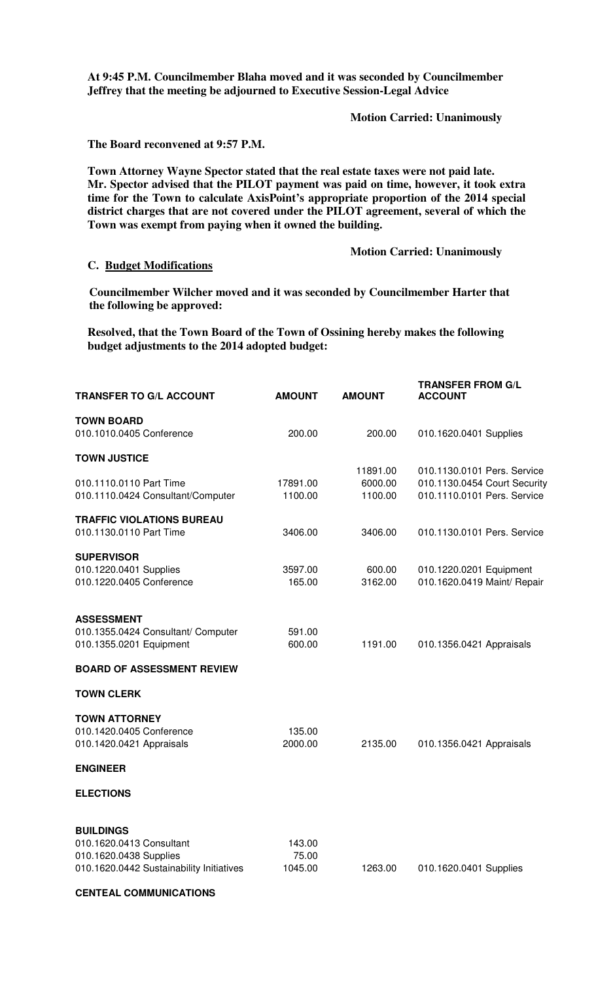**At 9:45 P.M. Councilmember Blaha moved and it was seconded by Councilmember Jeffrey that the meeting be adjourned to Executive Session-Legal Advice** 

**Motion Carried: Unanimously** 

**The Board reconvened at 9:57 P.M.** 

**Town Attorney Wayne Spector stated that the real estate taxes were not paid late. Mr. Spector advised that the PILOT payment was paid on time, however, it took extra time for the Town to calculate AxisPoint's appropriate proportion of the 2014 special district charges that are not covered under the PILOT agreement, several of which the Town was exempt from paying when it owned the building.** 

### **Motion Carried: Unanimously**

#### **C. Budget Modifications**

**Councilmember Wilcher moved and it was seconded by Councilmember Harter that the following be approved:** 

**Resolved, that the Town Board of the Town of Ossining hereby makes the following budget adjustments to the 2014 adopted budget:** 

| <b>TRANSFER TO G/L ACCOUNT</b>                                     | <b>AMOUNT</b>    | <b>AMOUNT</b> | <b>TRANSFER FROM G/L</b><br><b>ACCOUNT</b> |
|--------------------------------------------------------------------|------------------|---------------|--------------------------------------------|
| <b>TOWN BOARD</b>                                                  |                  |               |                                            |
| 010.1010.0405 Conference                                           | 200.00           | 200.00        | 010.1620.0401 Supplies                     |
| <b>TOWN JUSTICE</b>                                                |                  |               |                                            |
|                                                                    |                  | 11891.00      | 010.1130.0101 Pers. Service                |
| 010.1110.0110 Part Time                                            | 17891.00         | 6000.00       | 010.1130.0454 Court Security               |
| 010.1110.0424 Consultant/Computer                                  | 1100.00          | 1100.00       | 010.1110.0101 Pers. Service                |
| <b>TRAFFIC VIOLATIONS BUREAU</b>                                   |                  |               |                                            |
| 010.1130.0110 Part Time                                            | 3406.00          | 3406.00       | 010.1130.0101 Pers. Service                |
| <b>SUPERVISOR</b>                                                  |                  |               |                                            |
| 010.1220.0401 Supplies                                             | 3597.00          | 600.00        | 010.1220.0201 Equipment                    |
| 010.1220.0405 Conference                                           | 165.00           | 3162.00       | 010.1620.0419 Maint/ Repair                |
|                                                                    |                  |               |                                            |
| <b>ASSESSMENT</b>                                                  |                  |               |                                            |
| 010.1355.0424 Consultant/ Computer                                 | 591.00           |               |                                            |
| 010.1355.0201 Equipment                                            | 600.00           | 1191.00       | 010.1356.0421 Appraisals                   |
| <b>BOARD OF ASSESSMENT REVIEW</b>                                  |                  |               |                                            |
| <b>TOWN CLERK</b>                                                  |                  |               |                                            |
| <b>TOWN ATTORNEY</b>                                               |                  |               |                                            |
| 010.1420.0405 Conference                                           | 135.00           |               |                                            |
| 010.1420.0421 Appraisals                                           | 2000.00          | 2135.00       | 010.1356.0421 Appraisals                   |
| <b>ENGINEER</b>                                                    |                  |               |                                            |
| <b>ELECTIONS</b>                                                   |                  |               |                                            |
|                                                                    |                  |               |                                            |
| <b>BUILDINGS</b>                                                   |                  |               |                                            |
| 010.1620.0413 Consultant                                           | 143.00           |               |                                            |
| 010.1620.0438 Supplies<br>010.1620.0442 Sustainability Initiatives | 75.00<br>1045.00 | 1263.00       |                                            |
|                                                                    |                  |               | 010.1620.0401 Supplies                     |

#### **CENTEAL COMMUNICATIONS**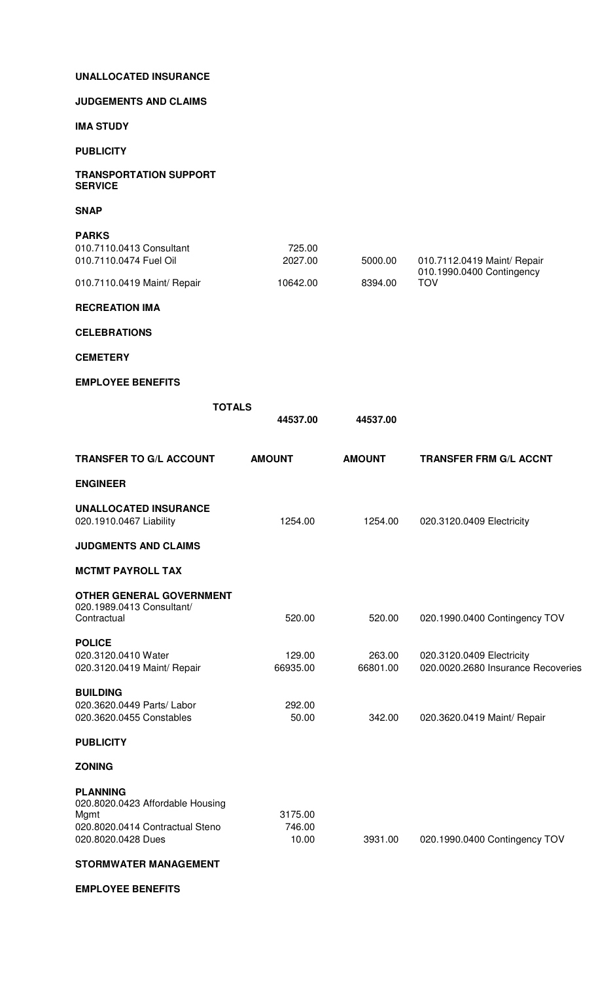# **UNALLOCATED INSURANCE**

### **JUDGEMENTS AND CLAIMS**

**IMA STUDY** 

#### **PUBLICITY**

### **TRANSPORTATION SUPPORT SERVICE**

**SNAP** 

| <b>PARKS</b>                |          |         |                                                          |
|-----------------------------|----------|---------|----------------------------------------------------------|
| 010.7110.0413 Consultant    | 725.00   |         |                                                          |
| 010.7110.0474 Fuel Oil      | 2027.00  | 5000.00 | 010.7112.0419 Maint/ Repair<br>010.1990.0400 Contingency |
| 010.7110.0419 Maint/ Repair | 10642.00 | 8394.00 | TOV                                                      |

### **RECREATION IMA**

## **CELEBRATIONS**

#### **CEMETERY**

### **EMPLOYEE BENEFITS**

|                                                                                                                      | <b>TOTALS</b><br>44537.00  | 44537.00           |                                                                 |
|----------------------------------------------------------------------------------------------------------------------|----------------------------|--------------------|-----------------------------------------------------------------|
| <b>TRANSFER TO G/L ACCOUNT</b>                                                                                       | <b>AMOUNT</b>              | <b>AMOUNT</b>      | <b>TRANSFER FRM G/L ACCNT</b>                                   |
| <b>ENGINEER</b>                                                                                                      |                            |                    |                                                                 |
| <b>UNALLOCATED INSURANCE</b><br>020.1910.0467 Liability                                                              | 1254.00                    | 1254.00            | 020.3120.0409 Electricity                                       |
| <b>JUDGMENTS AND CLAIMS</b>                                                                                          |                            |                    |                                                                 |
| <b>MCTMT PAYROLL TAX</b>                                                                                             |                            |                    |                                                                 |
| <b>OTHER GENERAL GOVERNMENT</b><br>020.1989.0413 Consultant/<br>Contractual                                          | 520.00                     | 520.00             | 020.1990.0400 Contingency TOV                                   |
| <b>POLICE</b><br>020.3120.0410 Water<br>020.3120.0419 Maint/ Repair                                                  | 129.00<br>66935.00         | 263.00<br>66801.00 | 020.3120.0409 Electricity<br>020.0020.2680 Insurance Recoveries |
| <b>BUILDING</b><br>020.3620.0449 Parts/ Labor<br>020.3620.0455 Constables                                            | 292.00<br>50.00            | 342.00             | 020.3620.0419 Maint/ Repair                                     |
| <b>PUBLICITY</b>                                                                                                     |                            |                    |                                                                 |
| <b>ZONING</b>                                                                                                        |                            |                    |                                                                 |
| <b>PLANNING</b><br>020.8020.0423 Affordable Housing<br>Mgmt<br>020.8020.0414 Contractual Steno<br>020.8020.0428 Dues | 3175.00<br>746.00<br>10.00 | 3931.00            | 020.1990.0400 Contingency TOV                                   |

# **STORMWATER MANAGEMENT**

**EMPLOYEE BENEFITS**